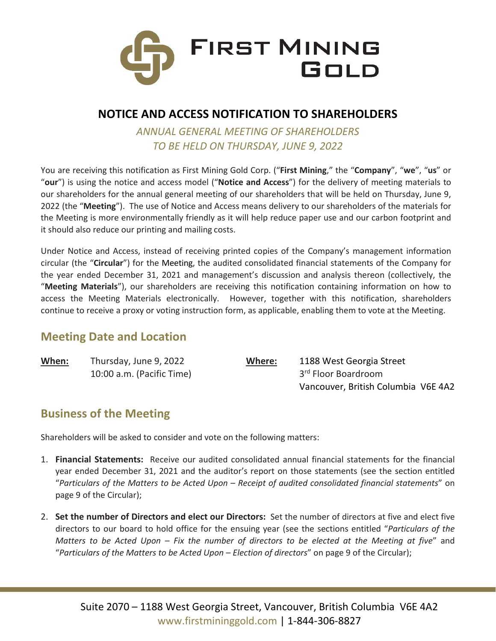

### **NOTICE AND ACCESS NOTIFICATION TO SHAREHOLDERS**

*ANNUAL GENERAL MEETING OF SHAREHOLDERS TO BE HELD ON THURSDAY, JUNE 9, 2022*

You are receiving this notification as First Mining Gold Corp. ("**First Mining**," the "**Company**", "**we**", "**us**" or "**our**") is using the notice and access model ("**Notice and Access**") for the delivery of meeting materials to our shareholders for the annual general meeting of our shareholders that will be held on Thursday, June 9, 2022 (the "**Meeting**"). The use of Notice and Access means delivery to our shareholders of the materials for the Meeting is more environmentally friendly as it will help reduce paper use and our carbon footprint and it should also reduce our printing and mailing costs.

Under Notice and Access, instead of receiving printed copies of the Company's management information circular (the "**Circular**") for the Meeting, the audited consolidated financial statements of the Company for the year ended December 31, 2021 and management's discussion and analysis thereon (collectively, the "**Meeting Materials**"), our shareholders are receiving this notification containing information on how to access the Meeting Materials electronically. However, together with this notification, shareholders continue to receive a proxy or voting instruction form, as applicable, enabling them to vote at the Meeting.

### **Meeting Date and Location**

| When: | Thursday, June 9, 2022    | Where: | 1188 West Georgia Street            |
|-------|---------------------------|--------|-------------------------------------|
|       | 10:00 a.m. (Pacific Time) |        | 3 <sup>rd</sup> Floor Boardroom     |
|       |                           |        | Vancouver, British Columbia V6E 4A2 |

### **Business of the Meeting**

Shareholders will be asked to consider and vote on the following matters:

- 1. **Financial Statements:** Receive our audited consolidated annual financial statements for the financial year ended December 31, 2021 and the auditor's report on those statements (see the section entitled "*Particulars of the Matters to be Acted Upon – Receipt of audited consolidated financial statements*" on page 9 of the Circular);
- 2. **Set the number of Directors and elect our Directors:** Set the number of directors at five and elect five directors to our board to hold office for the ensuing year (see the sections entitled "*Particulars of the Matters to be Acted Upon – Fix the number of directors to be elected at the Meeting at five*" and "*Particulars of the Matters to be Acted Upon – Election of directors*" on page 9 of the Circular);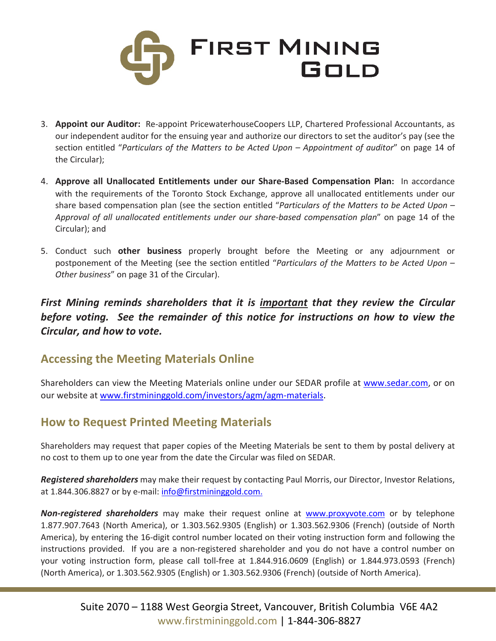

- 3. **Appoint our Auditor:** Re-appoint PricewaterhouseCoopers LLP, Chartered Professional Accountants, as our independent auditor for the ensuing year and authorize our directors to set the auditor's pay (see the section entitled "*Particulars of the Matters to be Acted Upon – Appointment of auditor*" on page 14 of the Circular);
- 4. **Approve all Unallocated Entitlements under our Share-Based Compensation Plan:** In accordance with the requirements of the Toronto Stock Exchange, approve all unallocated entitlements under our share based compensation plan (see the section entitled "*Particulars of the Matters to be Acted Upon – Approval of all unallocated entitlements under our share-based compensation plan*" on page 14 of the Circular); and
- 5. Conduct such **other business** properly brought before the Meeting or any adjournment or postponement of the Meeting (see the section entitled "*Particulars of the Matters to be Acted Upon – Other business*" on page 31 of the Circular).

*First Mining reminds shareholders that it is important that they review the Circular before voting. See the remainder of this notice for instructions on how to view the Circular, and how to vote.*

### **Accessing the Meeting Materials Online**

Shareholders can view the Meeting Materials online under our SEDAR profile at [www.sedar.com,](http://www.sedar.com/) or on our website at [www.firstmininggold.com/investors/agm/agm-materials.](http://www.firstmininggold.com/investors/agm/agm-materials)

### **How to Request Printed Meeting Materials**

Shareholders may request that paper copies of the Meeting Materials be sent to them by postal delivery at no cost to them up to one year from the date the Circular was filed on SEDAR.

*Registered shareholders* may make their request by contacting Paul Morris, our Director, Investor Relations, at 1.844.306.8827 or by e-mail: [info@firstmininggold.com.](mailto:info@firstmininggold.com.)

*Non-registered shareholders* may make their request online at [www.proxyvote.com](http://www.proxyvote.com/) or by telephone 1.877.907.7643 (North America), or 1.303.562.9305 (English) or 1.303.562.9306 (French) (outside of North America), by entering the 16-digit control number located on their voting instruction form and following the instructions provided. If you are a non-registered shareholder and you do not have a control number on your voting instruction form, please call toll-free at 1.844.916.0609 (English) or 1.844.973.0593 (French) (North America), or 1.303.562.9305 (English) or 1.303.562.9306 (French) (outside of North America).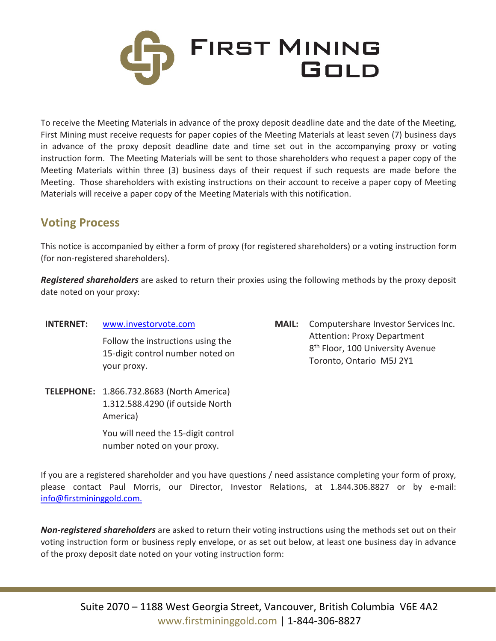

To receive the Meeting Materials in advance of the proxy deposit deadline date and the date of the Meeting, First Mining must receive requests for paper copies of the Meeting Materials at least seven (7) business days in advance of the proxy deposit deadline date and time set out in the accompanying proxy or voting instruction form. The Meeting Materials will be sent to those shareholders who request a paper copy of the Meeting Materials within three (3) business days of their request if such requests are made before the Meeting. Those shareholders with existing instructions on their account to receive a paper copy of Meeting Materials will receive a paper copy of the Meeting Materials with this notification.

## **Voting Process**

This notice is accompanied by either a form of proxy (for registered shareholders) or a voting instruction form (for non-registered shareholders).

*Registered shareholders* are asked to return their proxies using the following methods by the proxy deposit date noted on your proxy:

- **INTERNET:** [www.investorvote.com](http://www.investorvote.com/) Follow the instructions using the 15-digit control number noted on your proxy.
- **TELEPHONE:** 1.866.732.8683 (North America) 1.312.588.4290 (if outside North America) You will need the 15-digit control

number noted on your proxy.

**MAIL:** Computershare Investor Services Inc. Attention: Proxy Department 8<sup>th</sup> Floor, 100 University Avenue Toronto, Ontario M5J 2Y1

If you are a registered shareholder and you have questions / need assistance completing your form of proxy, please contact Paul Morris, our Director, Investor Relations, at 1.844.306.8827 or by e-mail: [info@firstmininggold.com.](mailto:info@firstmininggold.com.)

*Non-registered shareholders* are asked to return their voting instructions using the methods set out on their voting instruction form or business reply envelope, or as set out below, at least one business day in advance of the proxy deposit date noted on your voting instruction form: